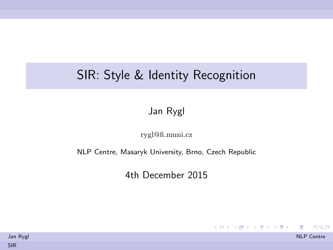## <span id="page-0-0"></span>SIR: Style & Identity Recognition

Jan Rygl

<rygl@fi.muni.cz>

NLP Centre, Masaryk University, Brno, Czech Republic

4th December 2015

イロメ イ団メ イミメ イモメー 毛

 $\Omega$ 

| Jan Rygl   | <b>NLP Centre</b> |
|------------|-------------------|
| <b>SIR</b> |                   |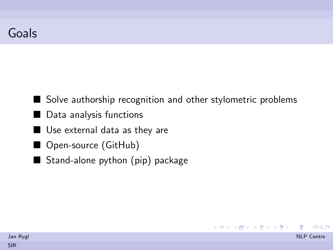- Solve authorship recognition and other stylometric problems
- Data analysis functions
- Use external data as they are
- Open-source (GitHub)
- Stand-alone python  $(pip)$  package

| Jan Rygl | <b>NLP</b> Centre |
|----------|-------------------|
| SIR      |                   |

K ロ > K @ > K 경 > K 경 > 시 경

 $\eta$ an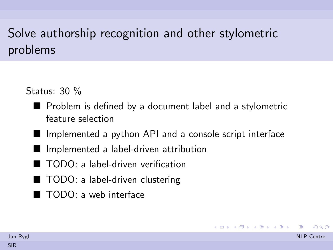# Solve authorship recognition and other stylometric problems

Status: 30 %

- **Problem is defined by a document label and a stylometric** feature selection
- $\blacksquare$  Implemented a python API and a console script interface

 $\left\{ \begin{array}{ccc} \Box & \rightarrow & \left\langle \begin{array}{ccc} \Box \end{array} \right\rangle & \left\langle \begin{array}{ccc} \Box \end{array} \right\rangle & \left\langle \begin{array}{ccc} \Xi & \rightarrow & \left\langle \begin{array}{ccc} \Xi & \rightarrow & \left\langle \begin{array}{ccc} \Xi \end{array} \right\rangle \end{array} \right\rangle \end{array} \right.$ 

- Implemented a label-driven attribution
- TODO: a label-driven verification
- TODO: a label-driven clustering
- TODO: a web interface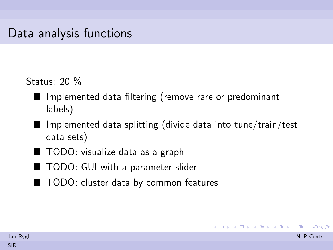Status: 20 %

- Implemented data filtering (remove rare or predominant labels)
- $\blacksquare$  Implemented data splitting (divide data into tune/train/test data sets)

イロト イ押 トイヨ トイヨ トー

- TODO: visualize data as a graph
- TODO: GUI with a parameter slider
- TODO: cluster data by common features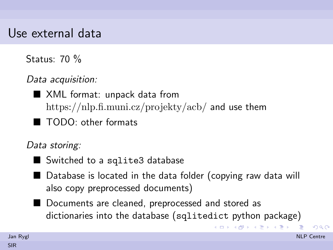#### Use external data

Status: 70 %

Data acquisition:

■ XML format: unpack data from <https://nlp.fi.muni.cz/projekty/acb/> and use them

■ TODO: other formats

Data storing:

- Switched to a sqlite3 database
- $\blacksquare$  Database is located in the data folder (copying raw data will also copy preprocessed documents)
- Documents are cleaned, preprocessed and stored as dictionaries into the database (sqlitedict python package)

 $\Omega$ 

イロメ イ何メ イヨメ イヨメート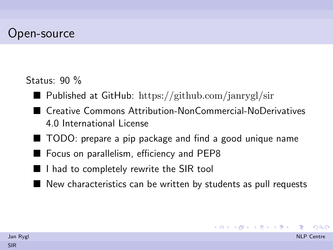#### Open-source

Status: 90 %

- **Published at GitHub:** <https://github.com/janrygl/sir>
- Creative Commons Attribution-NonCommercial-NoDerivatives 4.0 International License
- TODO: prepare a pip package and find a good unique name
- Focus on parallelism, efficiency and PEP8
- $\blacksquare$  I had to completely rewrite the SIR tool
- $\blacksquare$  New characteristics can be written by students as pull requests

イロメ イ何メ イヨメ イヨメート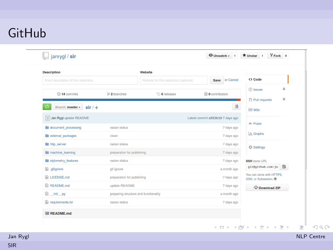## <span id="page-6-0"></span>GitHub

| <b>Description</b>                               |                                       | Website                                |                                  |                                                    |  |
|--------------------------------------------------|---------------------------------------|----------------------------------------|----------------------------------|----------------------------------------------------|--|
| Short description of this repository             |                                       | Website for this repository (optional) | Save or Cancel                   | <> Code                                            |  |
| C 14 commits                                     | $\n  2 branches\n$                    | $\circledcirc$ 0 releases              | <b>O</b> contributors            | <b>1</b> Issues<br>$\circ$                         |  |
|                                                  |                                       |                                        |                                  | $\circ$<br>[1] Pull requests                       |  |
| ທ<br>Branch: master $\frac{1}{\sqrt{2}}$ sir / + |                                       |                                        | 汪                                | <b>EE</b> Wiki                                     |  |
| Jan Rygl update README                           |                                       |                                        | Latest commit a553b19 7 days ago |                                                    |  |
| document_processing                              | raslan status                         |                                        | 7 days ago                       | - <sup>4</sup> Pulse                               |  |
| external_packages                                | clean                                 |                                        | 7 days ago                       | III Graphs                                         |  |
| <b>in</b> http server                            | raslan status                         |                                        | 7 days ago                       | <b>₿</b> Settings                                  |  |
| machine learning                                 | preparation for publishing            |                                        | 7 days ago                       |                                                    |  |
| stylometry_features                              | raslan status                         |                                        | 7 days ago                       | <b>SSH</b> clone URL                               |  |
| aitignore                                        | git ignore                            |                                        | a month ago                      | e.<br>git@github.com:ja                            |  |
| LICENSE.md                                       | preparation for publishing            |                                        | 7 days ago                       | You can clone with HTTPS,<br>SSH, or Subversion, ® |  |
| README.md                                        | update README                         |                                        | 7 days ago                       | <b>P</b> Download ZIP                              |  |
| D _init_.py                                      | preparing structure and functionality |                                        | a month ago                      |                                                    |  |
| $\mathbb{R}$ requirements.txt                    | raslan status                         |                                        | 7 days ago                       |                                                    |  |
| 图 README.md                                      |                                       |                                        |                                  |                                                    |  |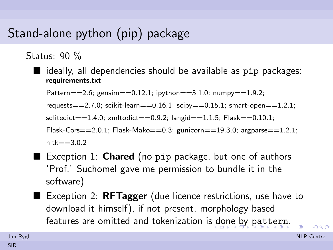# <span id="page-7-0"></span>Stand-alone python (pip) package

Status: 90 %

 $\blacksquare$  ideally, all dependencies should be available as pip packages: requirements.txt

Pattern==2.6; gensim==0.12.1; ipython==3.1.0;  $\text{numpy}$ ==1.9.2;

requests==2.7.0; scikit-learn==0.16.1; scipy==0.15.1; smart-open==1.2.1;

 $solidedict == 1.4.0;$   $xmltodict == 0.9.2;$   $langid == 1.1.5;$   $Flask == 0.10.1;$ 

Flask-Cors $=$  = 2.0.1; Flask-Mako==0.3; gunicorn==19.3.0; argparse==1.2.1;  $nltk = 3.0.2$ 

- $\blacksquare$  Exception 1:  $\sf Chared$  (no pip package, but one of authors 'Prof.' Suchomel gave me permission to bundle it in the software)
- Exception 2:  $RFTagger$  (due licence restrictions, use have to download it himself), if not present, morphology based features are omitted and tokenization is [d](#page-6-0)[on](#page-8-0)[e](#page-6-0) [by](#page-7-0) [pa](#page-0-0)[tt](#page-10-0)[er](#page-0-0)[n](#page-10-0)[.](#page-0-0)

 $\Omega$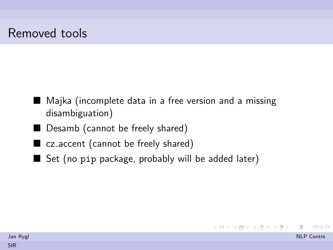- <span id="page-8-0"></span>■ Majka (incomplete data in a free version and a missing disambiguation)
- Desamb (cannot be freely shared)
- cz\_accent (cannot be freely shared)
- Set (no pip package, probably will be added later)

| Jan Rygl | <b>NLP</b> Centre |
|----------|-------------------|
| SIR      |                   |

K ロ ▶ K @ ▶ K 할 ▶ K 할 ▶ → 할 → 9 Q @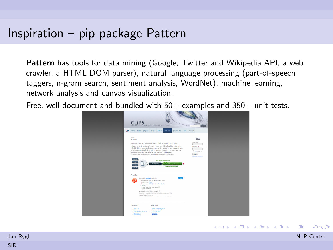#### Inspiration – pip package Pattern

Pattern has tools for data mining (Google, Twitter and Wikipedia API, a web crawler, a HTML DOM parser), natural language processing (part-of-speech taggers, n-gram search, sentiment analysis, WordNet), machine learning, network analysis and canvas visualization.

Free, well-document and bundled with  $50+$  examples and  $350+$  unit tests.



|            | Jan Rygl | <b>NLP</b> Centre |
|------------|----------|-------------------|
| <b>SIR</b> |          |                   |

メロメ メ都 メメ きょうくぼ メー

重

 $209$